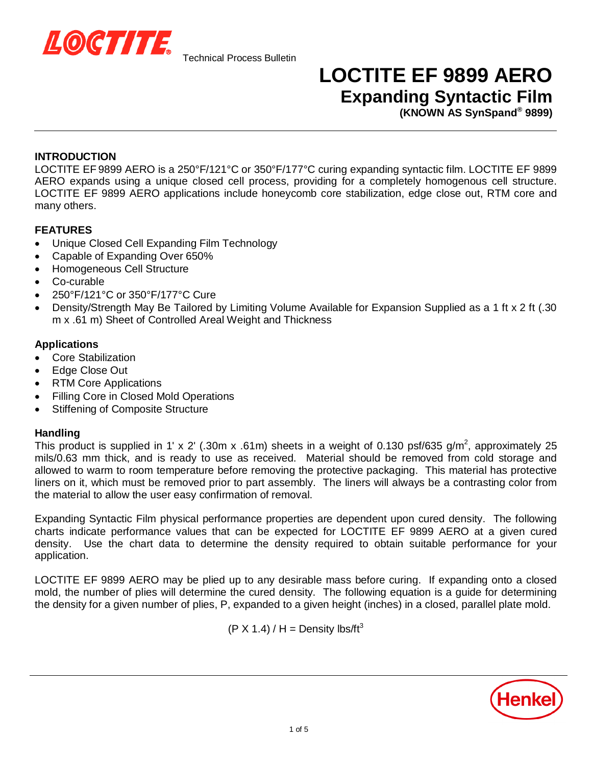

## **LOCTITE EF 9899 AERO Expanding Syntactic Film**

**(KNOWN AS SynSpand® 9899)**

## **INTRODUCTION**

LOCTITE EF 9899 AERO is a 250°F/121°C or 350°F/177°C curing expanding syntactic film. LOCTITE EF 9899 AERO expands using a unique closed cell process, providing for a completely homogenous cell structure. LOCTITE EF 9899 AERO applications include honeycomb core stabilization, edge close out, RTM core and many others.

## **FEATURES**

- Unique Closed Cell Expanding Film Technology
- Capable of Expanding Over 650%
- Homogeneous Cell Structure
- Co-curable
- x 250°F/121°C or 350°F/177°C Cure
- Density/Strength May Be Tailored by Limiting Volume Available for Expansion Supplied as a 1 ft x 2 ft (.30) m x .61 m) Sheet of Controlled Areal Weight and Thickness

## **Applications**

- **Core Stabilization**
- Edge Close Out
- **RTM Core Applications**
- Filling Core in Closed Mold Operations
- Stiffening of Composite Structure

## **Handling**

This product is supplied in 1' x 2' (.30m x .61m) sheets in a weight of 0.130 psf/635 g/m<sup>2</sup>, approximately 25 mils/0.63 mm thick, and is ready to use as received. Material should be removed from cold storage and allowed to warm to room temperature before removing the protective packaging. This material has protective liners on it, which must be removed prior to part assembly. The liners will always be a contrasting color from the material to allow the user easy confirmation of removal.

Expanding Syntactic Film physical performance properties are dependent upon cured density. The following charts indicate performance values that can be expected for LOCTITE EF 9899 AERO at a given cured density. Use the chart data to determine the density required to obtain suitable performance for your application.

LOCTITE EF 9899 AERO may be plied up to any desirable mass before curing. If expanding onto a closed mold, the number of plies will determine the cured density. The following equation is a guide for determining the density for a given number of plies, P, expanded to a given height (inches) in a closed, parallel plate mold.

 $(P X 1.4) / H =$  Density lbs/ft<sup>3</sup>

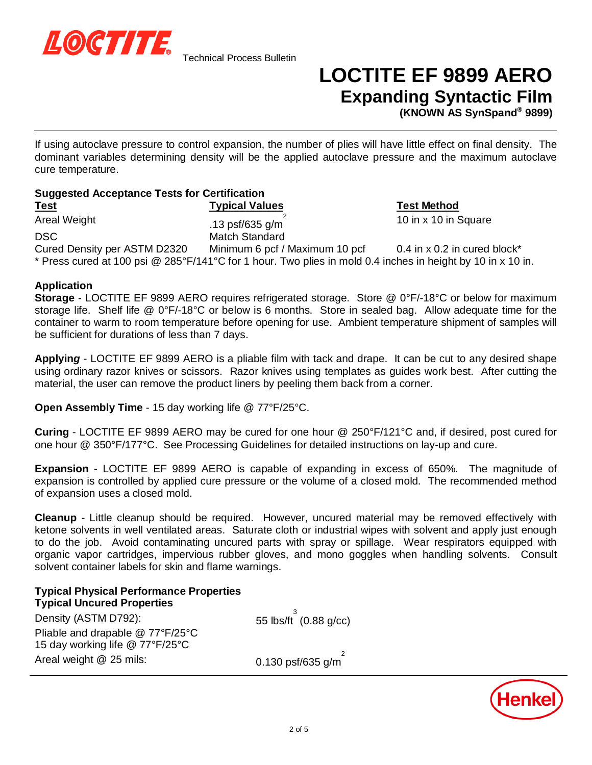

# **LOCTITE EF 9899 AERO Expanding Syntactic Film**

10 in x 10 in Square

**(KNOWN AS SynSpand® 9899)**

If using autoclave pressure to control expansion, the number of plies will have little effect on final density. The dominant variables determining density will be the applied autoclave pressure and the maximum autoclave cure temperature.

## **Suggested Acceptance Tests for Certification Test Typical Values Test Method** Areal Weight  $\overline{\phantom{a} \phantom{a} \phantom{a}}^{2}$  .13 psf/635 g/m  $^{2}$ DSC Match Standard

Cured Density per ASTM D2320 Minimum 6 pcf / Maximum 10 pcf 0.4 in x 0.2 in cured block\* \* Press cured at 100 psi @ 285°F/141°C for 1 hour. Two plies in mold 0.4 inches in height by 10 in x 10 in.

## **Application**

**Storage** - LOCTITE EF 9899 AERO requires refrigerated storage. Store @ 0°F/-18°C or below for maximum storage life. Shelf life @ 0°F/-18°C or below is 6 months. Store in sealed bag. Allow adequate time for the container to warm to room temperature before opening for use. Ambient temperature shipment of samples will be sufficient for durations of less than 7 days.

**Applyin***g* - LOCTITE EF 9899 AERO is a pliable film with tack and drape. It can be cut to any desired shape using ordinary razor knives or scissors. Razor knives using templates as guides work best. After cutting the material, the user can remove the product liners by peeling them back from a corner.

**Open Assembly Time** - 15 day working life @ 77°F/25°C.

**Curing** - LOCTITE EF 9899 AERO may be cured for one hour @ 250°F/121°C and, if desired, post cured for one hour @ 350°F/177°C. See Processing Guidelines for detailed instructions on lay-up and cure.

**Expansion** - LOCTITE EF 9899 AERO is capable of expanding in excess of 650%. The magnitude of expansion is controlled by applied cure pressure or the volume of a closed mold. The recommended method of expansion uses a closed mold.

**Cleanup** - Little cleanup should be required. However, uncured material may be removed effectively with ketone solvents in well ventilated areas. Saturate cloth or industrial wipes with solvent and apply just enough to do the job. Avoid contaminating uncured parts with spray or spillage. Wear respirators equipped with organic vapor cartridges, impervious rubber gloves, and mono goggles when handling solvents. Consult solvent container labels for skin and flame warnings.

## **Typical Physical Performance Properties**

**Typical Uncured Properties** Density (ASTM D792): Pliable and drapable @ 77°F/25°C 15 day working life @ 77°F/25°C Areal weight  $@$  25 mils: 0.130 psf/635 g/m

з<br>ິ (0.88 g/cc) 2

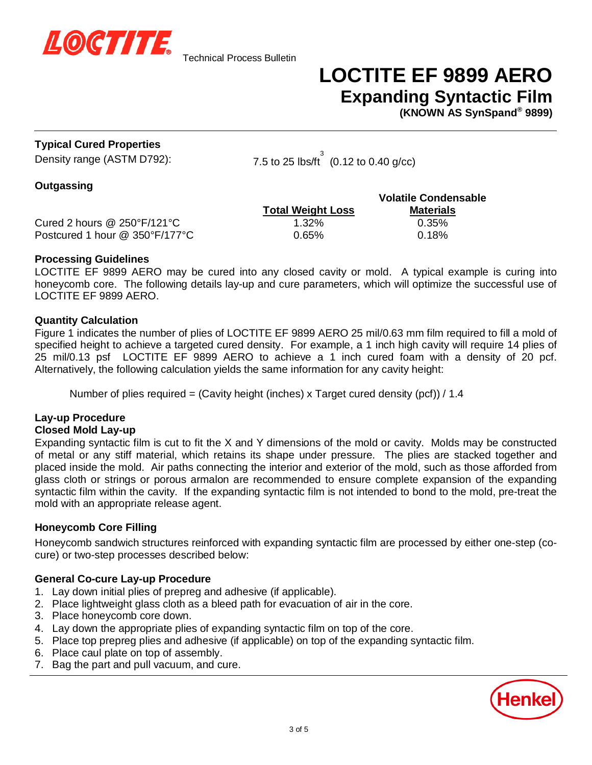

# **LOCTITE EF 9899 AERO Expanding Syntactic Film**

**(KNOWN AS SynSpand® 9899)**

## **Typical Cured Properties**

Density range (ASTM D792):

 $^3$  (0.12 to 0.40 g/cc)

## **Outgassing**

|                                                   |                          | <b>Volatile Condensable</b> |  |
|---------------------------------------------------|--------------------------|-----------------------------|--|
|                                                   | <b>Total Weight Loss</b> | <b>Materials</b>            |  |
| Cured 2 hours $@$ 250 $\degree$ F/121 $\degree$ C | 1.32%                    | $0.35\%$                    |  |
| Postcured 1 hour @ 350°F/177°C                    | $0.65\%$                 | $0.18\%$                    |  |

### **Processing Guidelines**

LOCTITE EF 9899 AERO may be cured into any closed cavity or mold. A typical example is curing into honeycomb core. The following details lay-up and cure parameters, which will optimize the successful use of LOCTITE EF 9899 AERO.

### **Quantity Calculation**

Figure 1 indicates the number of plies of LOCTITE EF 9899 AERO 25 mil/0.63 mm film required to fill a mold of specified height to achieve a targeted cured density. For example, a 1 inch high cavity will require 14 plies of 25 mil/0.13 psf LOCTITE EF 9899 AERO to achieve a 1 inch cured foam with a density of 20 pcf. Alternatively, the following calculation yields the same information for any cavity height:

Number of plies required = (Cavity height (inches) x Target cured density (pcf)) / 1.4

#### **Lay-up Procedure Closed Mold Lay-up**

Expanding syntactic film is cut to fit the X and Y dimensions of the mold or cavity. Molds may be constructed of metal or any stiff material, which retains its shape under pressure. The plies are stacked together and placed inside the mold. Air paths connecting the interior and exterior of the mold, such as those afforded from glass cloth or strings or porous armalon are recommended to ensure complete expansion of the expanding syntactic film within the cavity. If the expanding syntactic film is not intended to bond to the mold, pre-treat the mold with an appropriate release agent.

## **Honeycomb Core Filling**

Honeycomb sandwich structures reinforced with expanding syntactic film are processed by either one-step (cocure) or two-step processes described below:

## **General Co-cure Lay-up Procedure**

- 1. Lay down initial plies of prepreg and adhesive (if applicable).
- 2. Place lightweight glass cloth as a bleed path for evacuation of air in the core.
- 3. Place honeycomb core down.
- 4. Lay down the appropriate plies of expanding syntactic film on top of the core.
- 5. Place top prepreg plies and adhesive (if applicable) on top of the expanding syntactic film.
- 6. Place caul plate on top of assembly.
- 7. Bag the part and pull vacuum, and cure.

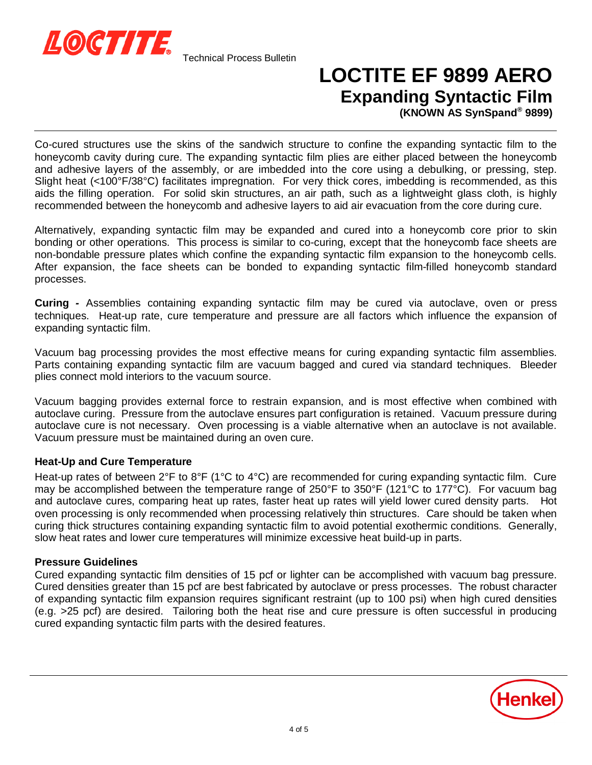

# **LOCTITE EF 9899 AERO Expanding Syntactic Film**

**(KNOWN AS SynSpand® 9899)**

Co-cured structures use the skins of the sandwich structure to confine the expanding syntactic film to the honeycomb cavity during cure. The expanding syntactic film plies are either placed between the honeycomb and adhesive layers of the assembly, or are imbedded into the core using a debulking, or pressing, step. Slight heat (<100°F/38°C) facilitates impregnation. For very thick cores, imbedding is recommended, as this aids the filling operation. For solid skin structures, an air path, such as a lightweight glass cloth, is highly recommended between the honeycomb and adhesive layers to aid air evacuation from the core during cure.

Alternatively, expanding syntactic film may be expanded and cured into a honeycomb core prior to skin bonding or other operations. This process is similar to co-curing, except that the honeycomb face sheets are non-bondable pressure plates which confine the expanding syntactic film expansion to the honeycomb cells. After expansion, the face sheets can be bonded to expanding syntactic film-filled honeycomb standard processes.

**Curing** *-* Assemblies containing expanding syntactic film may be cured via autoclave, oven or press techniques. Heat-up rate, cure temperature and pressure are all factors which influence the expansion of expanding syntactic film.

Vacuum bag processing provides the most effective means for curing expanding syntactic film assemblies. Parts containing expanding syntactic film are vacuum bagged and cured via standard techniques. Bleeder plies connect mold interiors to the vacuum source.

Vacuum bagging provides external force to restrain expansion, and is most effective when combined with autoclave curing. Pressure from the autoclave ensures part configuration is retained. Vacuum pressure during autoclave cure is not necessary. Oven processing is a viable alternative when an autoclave is not available. Vacuum pressure must be maintained during an oven cure.

## **Heat-Up and Cure Temperature**

Heat-up rates of between 2°F to 8°F (1°C to 4°C) are recommended for curing expanding syntactic film. Cure may be accomplished between the temperature range of 250°F to 350°F (121°C to 177°C). For vacuum bag and autoclave cures, comparing heat up rates, faster heat up rates will yield lower cured density parts. Hot oven processing is only recommended when processing relatively thin structures. Care should be taken when curing thick structures containing expanding syntactic film to avoid potential exothermic conditions. Generally, slow heat rates and lower cure temperatures will minimize excessive heat build-up in parts.

## **Pressure Guidelines**

Cured expanding syntactic film densities of 15 pcf or lighter can be accomplished with vacuum bag pressure. Cured densities greater than 15 pcf are best fabricated by autoclave or press processes. The robust character of expanding syntactic film expansion requires significant restraint (up to 100 psi) when high cured densities (e.g. >25 pcf) are desired. Tailoring both the heat rise and cure pressure is often successful in producing cured expanding syntactic film parts with the desired features.